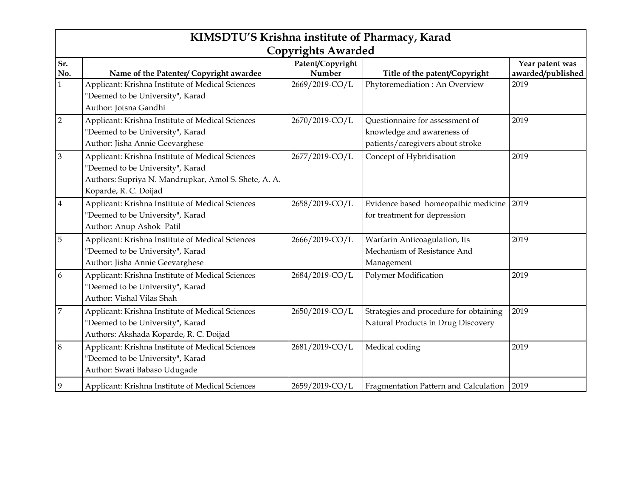|                | KIMSDTU'S Krishna institute of Pharmacy, Karad<br><b>Copyrights Awarded</b> |                  |                                        |                   |  |
|----------------|-----------------------------------------------------------------------------|------------------|----------------------------------------|-------------------|--|
|                |                                                                             |                  |                                        |                   |  |
| Sr.            |                                                                             | Patent/Copyright |                                        | Year patent was   |  |
| No.            | Name of the Patenter/ Copyright awardee                                     | Number           | Title of the patent/Copyright          | awarded/published |  |
| $\mathbf{1}$   | Applicant: Krishna Institute of Medical Sciences                            | 2669/2019-CO/L   | Phytoremediation: An Overview          | 2019              |  |
|                | "Deemed to be University", Karad                                            |                  |                                        |                   |  |
|                | Author: Jotsna Gandhi                                                       |                  |                                        |                   |  |
| $\overline{2}$ | Applicant: Krishna Institute of Medical Sciences                            | 2670/2019-CO/L   | Questionnaire for assessment of        | 2019              |  |
|                | "Deemed to be University", Karad                                            |                  | knowledge and awareness of             |                   |  |
|                | Author: Jisha Annie Geevarghese                                             |                  | patients/caregivers about stroke       |                   |  |
| $\mathfrak{Z}$ | Applicant: Krishna Institute of Medical Sciences                            | 2677/2019-CO/L   | Concept of Hybridisation               | 2019              |  |
|                | "Deemed to be University", Karad                                            |                  |                                        |                   |  |
|                | Authors: Supriya N. Mandrupkar, Amol S. Shete, A. A.                        |                  |                                        |                   |  |
|                | Koparde, R. C. Doijad                                                       |                  |                                        |                   |  |
| $\overline{4}$ | Applicant: Krishna Institute of Medical Sciences                            | 2658/2019-CO/L   | Evidence based homeopathic medicine    | 2019              |  |
|                | "Deemed to be University", Karad                                            |                  | for treatment for depression           |                   |  |
|                | Author: Anup Ashok Patil                                                    |                  |                                        |                   |  |
| $\overline{5}$ | Applicant: Krishna Institute of Medical Sciences                            | 2666/2019-CO/L   | Warfarin Anticoagulation, Its          | 2019              |  |
|                | "Deemed to be University", Karad                                            |                  | Mechanism of Resistance And            |                   |  |
|                | Author: Jisha Annie Geevarghese                                             |                  | Management                             |                   |  |
| 6              | Applicant: Krishna Institute of Medical Sciences                            | 2684/2019-CO/L   | <b>Polymer Modification</b>            | 2019              |  |
|                | "Deemed to be University", Karad                                            |                  |                                        |                   |  |
|                | Author: Vishal Vilas Shah                                                   |                  |                                        |                   |  |
| $\overline{7}$ | Applicant: Krishna Institute of Medical Sciences                            | 2650/2019-CO/L   | Strategies and procedure for obtaining | 2019              |  |
|                | "Deemed to be University", Karad                                            |                  | Natural Products in Drug Discovery     |                   |  |
|                | Authors: Akshada Koparde, R. C. Doijad                                      |                  |                                        |                   |  |
| $\,8\,$        | Applicant: Krishna Institute of Medical Sciences                            | 2681/2019-CO/L   | Medical coding                         | 2019              |  |
|                | "Deemed to be University", Karad                                            |                  |                                        |                   |  |
|                | Author: Swati Babaso Udugade                                                |                  |                                        |                   |  |
| 9              | Applicant: Krishna Institute of Medical Sciences                            | 2659/2019-CO/L   | Fragmentation Pattern and Calculation  | 2019              |  |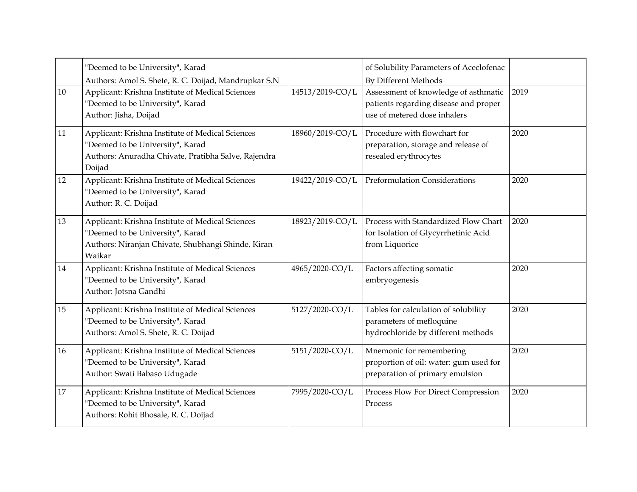|    | "Deemed to be University", Karad<br>Authors: Amol S. Shete, R. C. Doijad, Mandrupkar S.N                                                              |                 | of Solubility Parameters of Aceclofenac<br><b>By Different Methods</b>                                        |      |
|----|-------------------------------------------------------------------------------------------------------------------------------------------------------|-----------------|---------------------------------------------------------------------------------------------------------------|------|
| 10 | Applicant: Krishna Institute of Medical Sciences<br>"Deemed to be University", Karad<br>Author: Jisha, Doijad                                         | 14513/2019-CO/L | Assessment of knowledge of asthmatic<br>patients regarding disease and proper<br>use of metered dose inhalers | 2019 |
| 11 | Applicant: Krishna Institute of Medical Sciences<br>"Deemed to be University", Karad<br>Authors: Anuradha Chivate, Pratibha Salve, Rajendra<br>Doijad | 18960/2019-CO/L | Procedure with flowchart for<br>preparation, storage and release of<br>resealed erythrocytes                  | 2020 |
| 12 | Applicant: Krishna Institute of Medical Sciences<br>"Deemed to be University", Karad<br>Author: R. C. Doijad                                          | 19422/2019-CO/L | Preformulation Considerations                                                                                 | 2020 |
| 13 | Applicant: Krishna Institute of Medical Sciences<br>"Deemed to be University", Karad<br>Authors: Niranjan Chivate, Shubhangi Shinde, Kiran<br>Waikar  | 18923/2019-CO/L | Process with Standardized Flow Chart<br>for Isolation of Glycyrrhetinic Acid<br>from Liquorice                | 2020 |
| 14 | Applicant: Krishna Institute of Medical Sciences<br>"Deemed to be University", Karad<br>Author: Jotsna Gandhi                                         | 4965/2020-CO/L  | Factors affecting somatic<br>embryogenesis                                                                    | 2020 |
| 15 | Applicant: Krishna Institute of Medical Sciences<br>"Deemed to be University", Karad<br>Authors: Amol S. Shete, R. C. Doijad                          | 5127/2020-CO/L  | Tables for calculation of solubility<br>parameters of mefloquine<br>hydrochloride by different methods        | 2020 |
| 16 | Applicant: Krishna Institute of Medical Sciences<br>"Deemed to be University", Karad<br>Author: Swati Babaso Udugade                                  | 5151/2020-CO/L  | Mnemonic for remembering<br>proportion of oil: water: gum used for<br>preparation of primary emulsion         | 2020 |
| 17 | Applicant: Krishna Institute of Medical Sciences<br>"Deemed to be University", Karad<br>Authors: Rohit Bhosale, R. C. Doijad                          | 7995/2020-CO/L  | Process Flow For Direct Compression<br>Process                                                                | 2020 |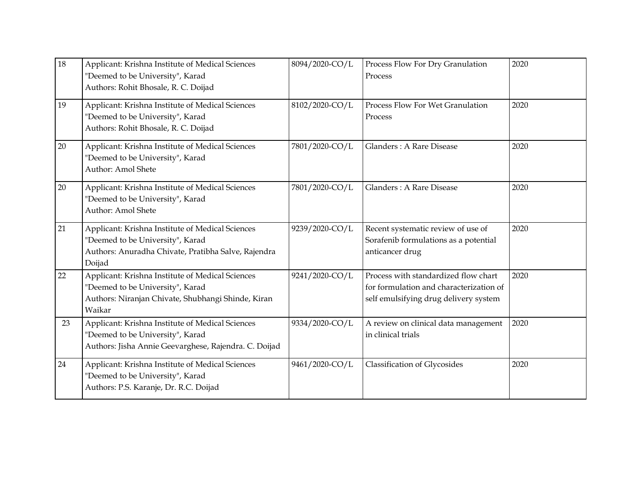| 18 | Applicant: Krishna Institute of Medical Sciences<br>"Deemed to be University", Karad<br>Authors: Rohit Bhosale, R. C. Doijad                          | 8094/2020-CO/L | Process Flow For Dry Granulation<br>Process                                                                              | 2020 |
|----|-------------------------------------------------------------------------------------------------------------------------------------------------------|----------------|--------------------------------------------------------------------------------------------------------------------------|------|
| 19 | Applicant: Krishna Institute of Medical Sciences<br>"Deemed to be University", Karad<br>Authors: Rohit Bhosale, R. C. Doijad                          | 8102/2020-CO/L | Process Flow For Wet Granulation<br>Process                                                                              | 2020 |
| 20 | Applicant: Krishna Institute of Medical Sciences<br>"Deemed to be University", Karad<br>Author: Amol Shete                                            | 7801/2020-CO/L | Glanders: A Rare Disease                                                                                                 | 2020 |
| 20 | Applicant: Krishna Institute of Medical Sciences<br>"Deemed to be University", Karad<br>Author: Amol Shete                                            | 7801/2020-CO/L | Glanders: A Rare Disease                                                                                                 | 2020 |
| 21 | Applicant: Krishna Institute of Medical Sciences<br>"Deemed to be University", Karad<br>Authors: Anuradha Chivate, Pratibha Salve, Rajendra<br>Doijad | 9239/2020-CO/L | Recent systematic review of use of<br>Sorafenib formulations as a potential<br>anticancer drug                           | 2020 |
| 22 | Applicant: Krishna Institute of Medical Sciences<br>"Deemed to be University", Karad<br>Authors: Niranjan Chivate, Shubhangi Shinde, Kiran<br>Waikar  | 9241/2020-CO/L | Process with standardized flow chart<br>for formulation and characterization of<br>self emulsifying drug delivery system | 2020 |
| 23 | Applicant: Krishna Institute of Medical Sciences<br>"Deemed to be University", Karad<br>Authors: Jisha Annie Geevarghese, Rajendra. C. Doijad         | 9334/2020-CO/L | A review on clinical data management<br>in clinical trials                                                               | 2020 |
| 24 | Applicant: Krishna Institute of Medical Sciences<br>"Deemed to be University", Karad<br>Authors: P.S. Karanje, Dr. R.C. Doijad                        | 9461/2020-CO/L | <b>Classification of Glycosides</b>                                                                                      | 2020 |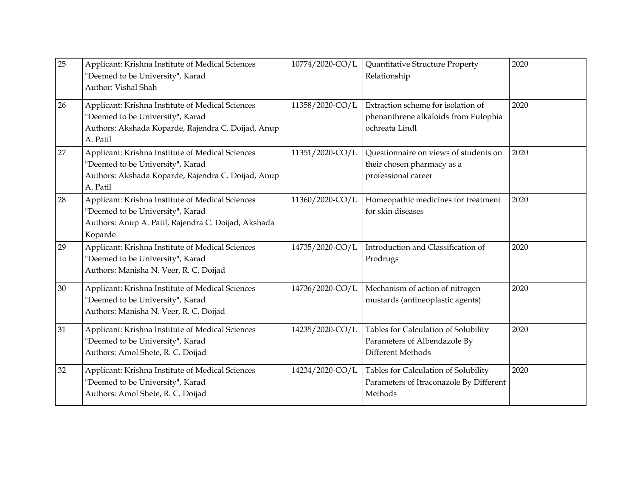| 25 | Applicant: Krishna Institute of Medical Sciences<br>"Deemed to be University", Karad<br>Author: Vishal Shah                                            | 10774/2020-CO/L | Quantitative Structure Property<br>Relationship                                              | 2020 |
|----|--------------------------------------------------------------------------------------------------------------------------------------------------------|-----------------|----------------------------------------------------------------------------------------------|------|
| 26 | Applicant: Krishna Institute of Medical Sciences<br>'Deemed to be University", Karad<br>Authors: Akshada Koparde, Rajendra C. Doijad, Anup<br>A. Patil | 11358/2020-CO/L | Extraction scheme for isolation of<br>phenanthrene alkaloids from Eulophia<br>ochreata Lindl | 2020 |
| 27 | Applicant: Krishna Institute of Medical Sciences<br>'Deemed to be University", Karad<br>Authors: Akshada Koparde, Rajendra C. Doijad, Anup<br>A. Patil | 11351/2020-CO/L | Questionnaire on views of students on<br>their chosen pharmacy as a<br>professional career   | 2020 |
| 28 | Applicant: Krishna Institute of Medical Sciences<br>'Deemed to be University", Karad<br>Authors: Anup A. Patil, Rajendra C. Doijad, Akshada<br>Koparde | 11360/2020-CO/L | Homeopathic medicines for treatment<br>for skin diseases                                     | 2020 |
| 29 | Applicant: Krishna Institute of Medical Sciences<br>"Deemed to be University", Karad<br>Authors: Manisha N. Veer, R. C. Doijad                         | 14735/2020-CO/L | Introduction and Classification of<br>Prodrugs                                               | 2020 |
| 30 | Applicant: Krishna Institute of Medical Sciences<br>'Deemed to be University", Karad<br>Authors: Manisha N. Veer, R. C. Doijad                         | 14736/2020-CO/L | Mechanism of action of nitrogen<br>mustards (antineoplastic agents)                          | 2020 |
| 31 | Applicant: Krishna Institute of Medical Sciences<br>'Deemed to be University", Karad<br>Authors: Amol Shete, R. C. Doijad                              | 14235/2020-CO/L | Tables for Calculation of Solubility<br>Parameters of Albendazole By<br>Different Methods    | 2020 |
| 32 | Applicant: Krishna Institute of Medical Sciences<br>'Deemed to be University", Karad<br>Authors: Amol Shete, R. C. Doijad                              | 14234/2020-CO/L | Tables for Calculation of Solubility<br>Parameters of Itraconazole By Different<br>Methods   | 2020 |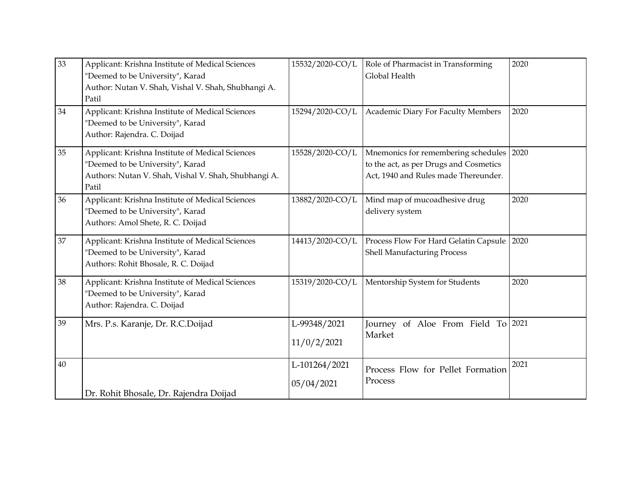| 33 | Applicant: Krishna Institute of Medical Sciences<br>"Deemed to be University", Karad<br>Author: Nutan V. Shah, Vishal V. Shah, Shubhangi A.<br>Patil  | 15532/2020-CO/L             | Role of Pharmacist in Transforming<br>Global Health                                                                        | 2020 |
|----|-------------------------------------------------------------------------------------------------------------------------------------------------------|-----------------------------|----------------------------------------------------------------------------------------------------------------------------|------|
| 34 | Applicant: Krishna Institute of Medical Sciences<br>"Deemed to be University", Karad<br>Author: Rajendra. C. Doijad                                   | 15294/2020-CO/L             | Academic Diary For Faculty Members                                                                                         | 2020 |
| 35 | Applicant: Krishna Institute of Medical Sciences<br>"Deemed to be University", Karad<br>Authors: Nutan V. Shah, Vishal V. Shah, Shubhangi A.<br>Patil | 15528/2020-CO/L             | Mnemonics for remembering schedules 2020<br>to the act, as per Drugs and Cosmetics<br>Act, 1940 and Rules made Thereunder. |      |
| 36 | Applicant: Krishna Institute of Medical Sciences<br>"Deemed to be University", Karad<br>Authors: Amol Shete, R. C. Doijad                             | 13882/2020-CO/L             | Mind map of mucoadhesive drug<br>delivery system                                                                           | 2020 |
| 37 | Applicant: Krishna Institute of Medical Sciences<br>"Deemed to be University", Karad<br>Authors: Rohit Bhosale, R. C. Doijad                          | 14413/2020-CO/L             | Process Flow For Hard Gelatin Capsule<br>Shell Manufacturing Process                                                       | 2020 |
| 38 | Applicant: Krishna Institute of Medical Sciences<br>"Deemed to be University", Karad<br>Author: Rajendra. C. Doijad                                   | 15319/2020-CO/L             | Mentorship System for Students                                                                                             | 2020 |
| 39 | Mrs. P.s. Karanje, Dr. R.C.Doijad                                                                                                                     | L-99348/2021<br>11/0/2/2021 | Journey of Aloe From Field To 2021<br>Market                                                                               |      |
| 40 | Dr. Rohit Bhosale, Dr. Rajendra Doijad                                                                                                                | L-101264/2021<br>05/04/2021 | Process Flow for Pellet Formation<br>Process                                                                               | 2021 |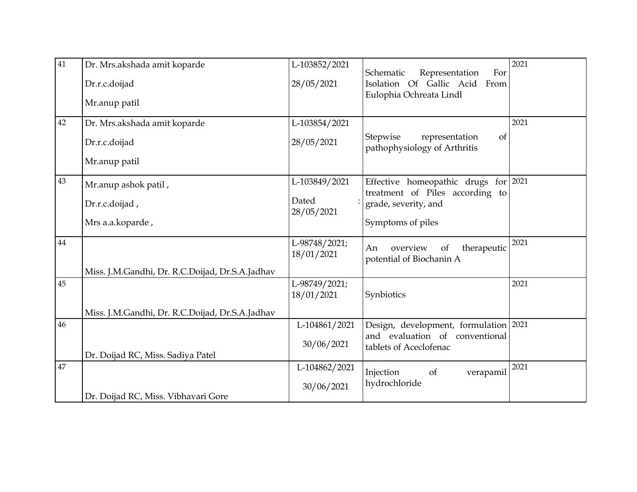| 41 | Dr. Mrs.akshada amit koparde                    | L-103852/2021               | Schematic<br>For                                                 | 2021       |
|----|-------------------------------------------------|-----------------------------|------------------------------------------------------------------|------------|
|    | Dr.r.c.doijad                                   | 28/05/2021                  | Representation<br>Isolation Of Gallic Acid From                  |            |
|    | Mr.anup patil                                   |                             | Eulophia Ochreata Lindl                                          |            |
| 42 | Dr. Mrs.akshada amit koparde                    | L-103854/2021               |                                                                  | 2021       |
|    | Dr.r.c.doijad                                   | 28/05/2021                  | Stepwise<br>representation<br>of<br>pathophysiology of Arthritis |            |
|    | Mr.anup patil                                   |                             |                                                                  |            |
| 43 | Mr.anup ashok patil,                            | L-103849/2021               | Effective homeopathic drugs<br>treatment of Piles according to   | for $2021$ |
|    | Dr.r.c.doijad,                                  | Dated<br>28/05/2021         | grade, severity, and                                             |            |
|    | Mrs a.a.koparde,                                |                             | Symptoms of piles                                                |            |
| 44 |                                                 | L-98748/2021;<br>18/01/2021 | An<br>overview<br>therapeutic<br>of<br>potential of Biochanin A  | 2021       |
|    | Miss. J.M.Gandhi, Dr. R.C.Doijad, Dr.S.A.Jadhav |                             |                                                                  |            |
| 45 |                                                 | L-98749/2021;<br>18/01/2021 | Synbiotics                                                       | 2021       |
|    | Miss. J.M.Gandhi, Dr. R.C.Doijad, Dr.S.A.Jadhav |                             |                                                                  |            |
| 46 |                                                 | L-104861/2021               | Design, development, formulation 2021                            |            |
|    | Dr. Doijad RC, Miss. Sadiya Patel               | 30/06/2021                  | and evaluation of conventional<br>tablets of Aceclofenac         |            |
| 47 |                                                 | L-104862/2021               | verapamil<br>Injection<br><sub>of</sub>                          | 2021       |
|    | Dr. Doijad RC, Miss. Vibhavari Gore             | 30/06/2021                  | hydrochloride                                                    |            |